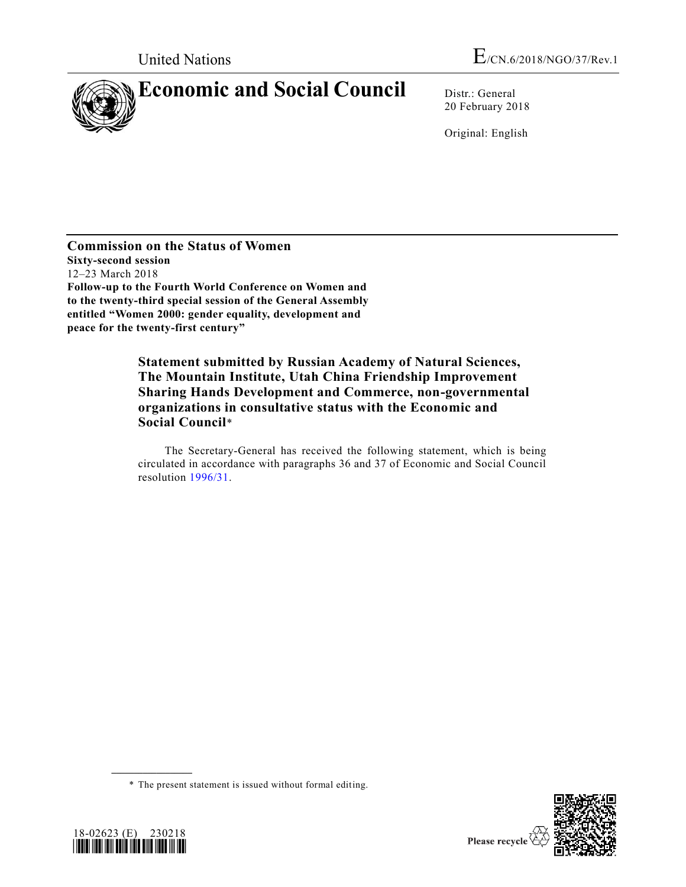

20 February 2018

Original: English

**Commission on the Status of Women Sixty-second session** 12–23 March 2018 **Follow-up to the Fourth World Conference on Women and to the twenty-third special session of the General Assembly entitled "Women 2000: gender equality, development and peace for the twenty-first century"**

> **Statement submitted by Russian Academy of Natural Sciences, The Mountain Institute, Utah China Friendship Improvement Sharing Hands Development and Commerce, non-governmental organizations in consultative status with the Economic and Social Council**\*

The Secretary-General has received the following statement, which is being circulated in accordance with paragraphs 36 and 37 of Economic and Social Council resolution [1996/31.](https://undocs.org/E/RES/1996/31)

<sup>\*</sup> The present statement is issued without formal editing.



**\_\_\_\_\_\_\_\_\_\_\_\_\_\_\_\_\_\_**

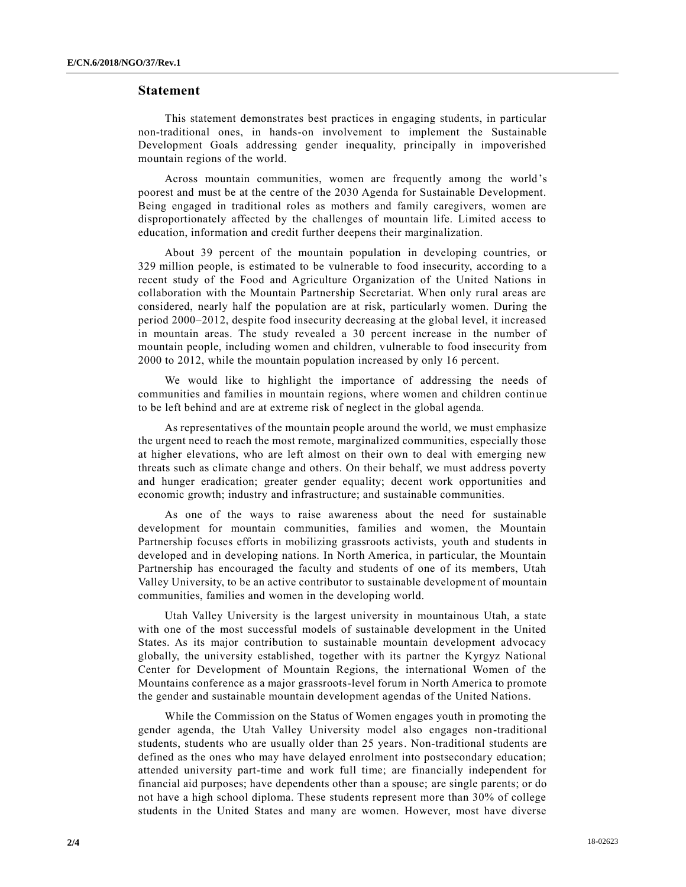## **Statement**

This statement demonstrates best practices in engaging students, in particular non-traditional ones, in hands-on involvement to implement the Sustainable Development Goals addressing gender inequality, principally in impoverished mountain regions of the world.

Across mountain communities, women are frequently among the world's poorest and must be at the centre of the 2030 Agenda for Sustainable Development. Being engaged in traditional roles as mothers and family caregivers, women are disproportionately affected by the challenges of mountain life. Limited access to education, information and credit further deepens their marginalization.

About 39 percent of the mountain population in developing countries, or 329 million people, is estimated to be vulnerable to food insecurity, according to a recent study of the Food and Agriculture Organization of the United Nations in collaboration with the Mountain Partnership Secretariat. When only rural areas are considered, nearly half the population are at risk, particularly women. During the period 2000–2012, despite food insecurity decreasing at the global level, it increased in mountain areas. The study revealed a 30 percent increase in the number of mountain people, including women and children, vulnerable to food insecurity from 2000 to 2012, while the mountain population increased by only 16 percent.

We would like to highlight the importance of addressing the needs of communities and families in mountain regions, where women and children continue to be left behind and are at extreme risk of neglect in the global agenda.

As representatives of the mountain people around the world, we must emphasize the urgent need to reach the most remote, marginalized communities, especially those at higher elevations, who are left almost on their own to deal with emerging new threats such as climate change and others. On their behalf, we must address poverty and hunger eradication; greater gender equality; decent work opportunities and economic growth; industry and infrastructure; and sustainable communities.

As one of the ways to raise awareness about the need for sustainable development for mountain communities, families and women, the Mountain Partnership focuses efforts in mobilizing grassroots activists, youth and students in developed and in developing nations. In North America, in particular, the Mountain Partnership has encouraged the faculty and students of one of its members, Utah Valley University, to be an active contributor to sustainable developme nt of mountain communities, families and women in the developing world.

Utah Valley University is the largest university in mountainous Utah, a state with one of the most successful models of sustainable development in the United States. As its major contribution to sustainable mountain development advocacy globally, the university established, together with its partner the Kyrgyz National Center for Development of Mountain Regions, the international Women of the Mountains conference as a major grassroots-level forum in North America to promote the gender and sustainable mountain development agendas of the United Nations.

While the Commission on the Status of Women engages youth in promoting the gender agenda, the Utah Valley University model also engages non-traditional students, students who are usually older than 25 years. Non-traditional students are defined as the ones who may have delayed enrolment into postsecondary education; attended university part-time and work full time; are financially independent for financial aid purposes; have dependents other than a spouse; are single parents; or do not have a high school diploma. These students represent more than 30% of college students in the United States and many are women. However, most have diverse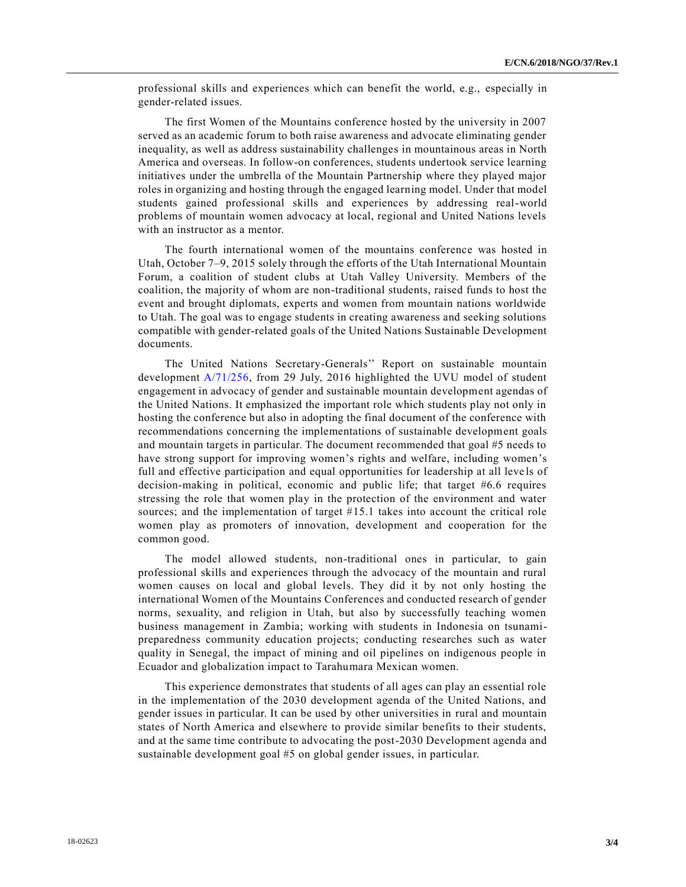professional skills and experiences which can benefit the world, e.g., especially in gender-related issues.

The first Women of the Mountains conference hosted by the university in 2007 served as an academic forum to both raise awareness and advocate eliminating gender inequality, as well as address sustainability challenges in mountainous areas in North America and overseas. In follow-on conferences, students undertook service learning initiatives under the umbrella of the Mountain Partnership where they played major roles in organizing and hosting through the engaged learning model. Under that model students gained professional skills and experiences by addressing real-world problems of mountain women advocacy at local, regional and United Nations levels with an instructor as a mentor.

The fourth international women of the mountains conference was hosted in Utah, October 7–9, 2015 solely through the efforts of the Utah International Mountain Forum, a coalition of student clubs at Utah Valley University. Members of the coalition, the majority of whom are non-traditional students, raised funds to host the event and brought diplomats, experts and women from mountain nations worldwide to Utah. The goal was to engage students in creating awareness and seeking solutions compatible with gender-related goals of the United Nations Sustainable Development documents.

The United Nations Secretary-Generals'' Report on sustainable mountain development [A/71/256,](https://undocs.org/A/71/256) from 29 July, 2016 highlighted the UVU model of student engagement in advocacy of gender and sustainable mountain development agendas of the United Nations. It emphasized the important role which students play not only in hosting the conference but also in adopting the final document of the conference with recommendations concerning the implementations of sustainable development goals and mountain targets in particular. The document recommended that goal #5 needs to have strong support for improving women's rights and welfare, including women's full and effective participation and equal opportunities for leadership at all leve ls of decision-making in political, economic and public life; that target #6.6 requires stressing the role that women play in the protection of the environment and water sources; and the implementation of target #15.1 takes into account the critical role women play as promoters of innovation, development and cooperation for the common good.

The model allowed students, non-traditional ones in particular, to gain professional skills and experiences through the advocacy of the mountain and rural women causes on local and global levels. They did it by not only hosting the international Women of the Mountains Conferences and conducted research of gender norms, sexuality, and religion in Utah, but also by successfully teaching women business management in Zambia; working with students in Indonesia on tsunamipreparedness community education projects; conducting researches such as water quality in Senegal, the impact of mining and oil pipelines on indigenous people in Ecuador and globalization impact to Tarahumara Mexican women.

This experience demonstrates that students of all ages can play an essential role in the implementation of the 2030 development agenda of the United Nations, and gender issues in particular. It can be used by other universities in rural and mountain states of North America and elsewhere to provide similar benefits to their students, and at the same time contribute to advocating the post-2030 Development agenda and sustainable development goal #5 on global gender issues, in particular.